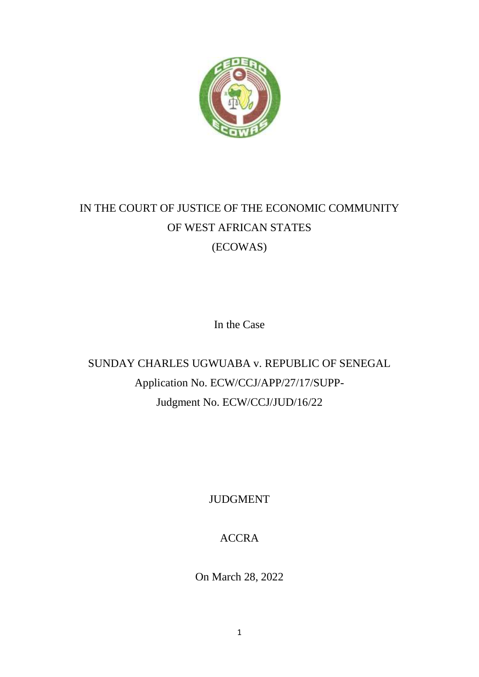

# IN THE COURT OF JUSTICE OF THE ECONOMIC COMMUNITY OF WEST AFRICAN STATES (ECOWAS)

In the Case

SUNDAY CHARLES UGWUABA v. REPUBLIC OF SENEGAL Application No. ECW/CCJ/APP/27/17/SUPP-Judgment No. ECW/CCJ/JUD/16/22

JUDGMENT

ACCRA

On March 28, 2022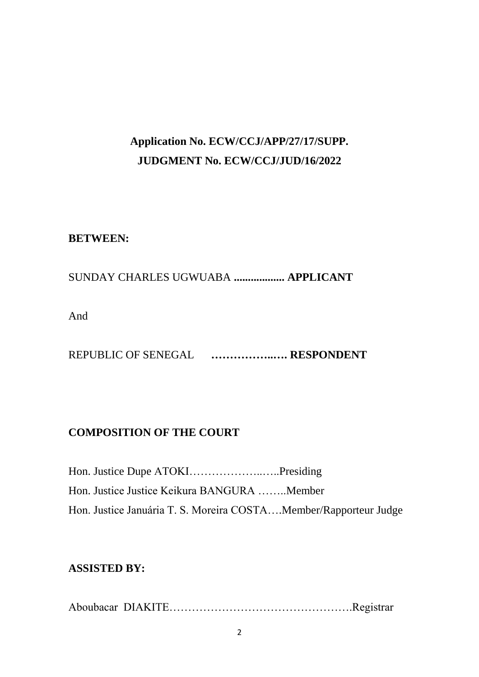## **Application No. ECW/CCJ/APP/27/17/SUPP. JUDGMENT No. ECW/CCJ/JUD/16/2022**

## **BETWEEN:**

## SUNDAY CHARLES UGWUABA **.................. APPLICANT**

And

REPUBLIC OF SENEGAL **……………..…. RESPONDENT** 

## **COMPOSITION OF THE COURT**

Hon. Justice Dupe ATOKI………………..…..Presiding Hon. Justice Justice Keikura BANGURA ……..Member Hon. Justice Januária T. S. Moreira COSTA....Member/Rapporteur Judge

## **ASSISTED BY:**

Aboubacar DIAKITE………………………………………….Registrar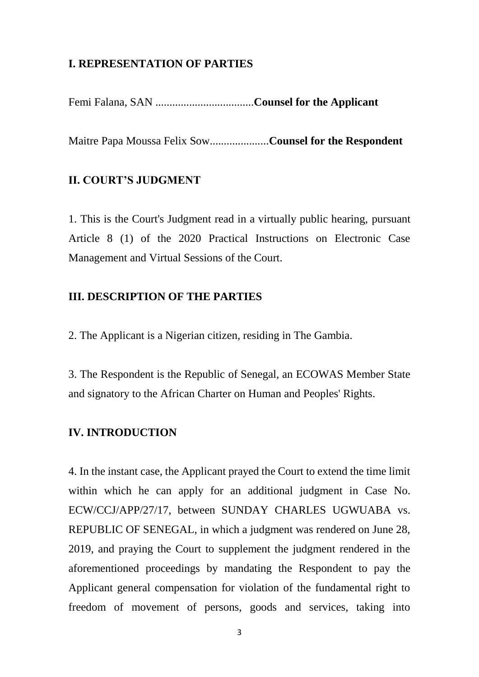#### **I. REPRESENTATION OF PARTIES**

Femi Falana, SAN ...................................**Counsel for the Applicant**

Maitre Papa Moussa Felix Sow.....................**Counsel for the Respondent**

#### **II. COURT'S JUDGMENT**

1. This is the Court's Judgment read in a virtually public hearing, pursuant Article 8 (1) of the 2020 Practical Instructions on Electronic Case Management and Virtual Sessions of the Court.

#### **III. DESCRIPTION OF THE PARTIES**

2. The Applicant is a Nigerian citizen, residing in The Gambia.

3. The Respondent is the Republic of Senegal, an ECOWAS Member State and signatory to the African Charter on Human and Peoples' Rights.

#### **IV. INTRODUCTION**

4. In the instant case, the Applicant prayed the Court to extend the time limit within which he can apply for an additional judgment in Case No. ECW/CCJ/APP/27/17, between SUNDAY CHARLES UGWUABA vs. REPUBLIC OF SENEGAL, in which a judgment was rendered on June 28, 2019, and praying the Court to supplement the judgment rendered in the aforementioned proceedings by mandating the Respondent to pay the Applicant general compensation for violation of the fundamental right to freedom of movement of persons, goods and services, taking into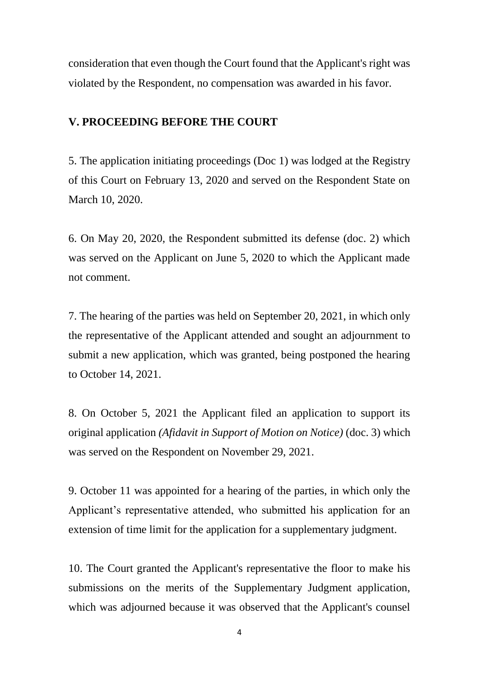consideration that even though the Court found that the Applicant's right was violated by the Respondent, no compensation was awarded in his favor.

#### **V. PROCEEDING BEFORE THE COURT**

5. The application initiating proceedings (Doc 1) was lodged at the Registry of this Court on February 13, 2020 and served on the Respondent State on March 10, 2020.

6. On May 20, 2020, the Respondent submitted its defense (doc. 2) which was served on the Applicant on June 5, 2020 to which the Applicant made not comment.

7. The hearing of the parties was held on September 20, 2021, in which only the representative of the Applicant attended and sought an adjournment to submit a new application, which was granted, being postponed the hearing to October 14, 2021.

8. On October 5, 2021 the Applicant filed an application to support its original application *(Afidavit in Support of Motion on Notice)* (doc. 3) which was served on the Respondent on November 29, 2021.

9. October 11 was appointed for a hearing of the parties, in which only the Applicant's representative attended, who submitted his application for an extension of time limit for the application for a supplementary judgment.

10. The Court granted the Applicant's representative the floor to make his submissions on the merits of the Supplementary Judgment application, which was adjourned because it was observed that the Applicant's counsel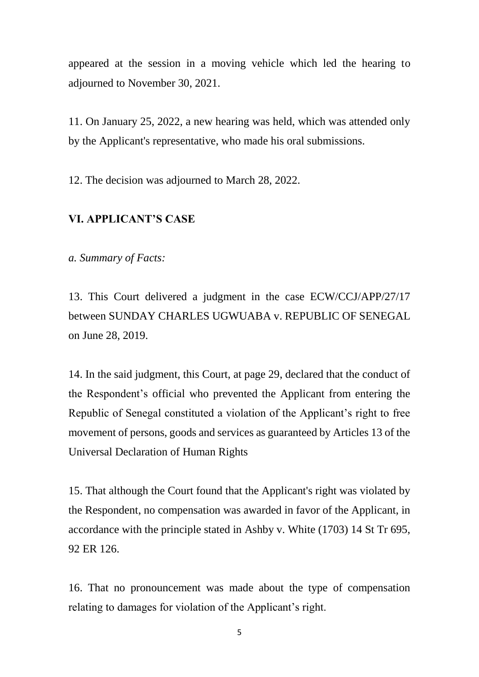appeared at the session in a moving vehicle which led the hearing to adjourned to November 30, 2021.

11. On January 25, 2022, a new hearing was held, which was attended only by the Applicant's representative, who made his oral submissions.

12. The decision was adjourned to March 28, 2022.

#### **VI. APPLICANT'S CASE**

*a. Summary of Facts:*

13. This Court delivered a judgment in the case ECW/CCJ/APP/27/17 between SUNDAY CHARLES UGWUABA v. REPUBLIC OF SENEGAL on June 28, 2019.

14. In the said judgment, this Court, at page 29, declared that the conduct of the Respondent's official who prevented the Applicant from entering the Republic of Senegal constituted a violation of the Applicant's right to free movement of persons, goods and services as guaranteed by Articles 13 of the Universal Declaration of Human Rights

15. That although the Court found that the Applicant's right was violated by the Respondent, no compensation was awarded in favor of the Applicant, in accordance with the principle stated in Ashby v. White (1703) 14 St Tr 695, 92 ER 126.

16. That no pronouncement was made about the type of compensation relating to damages for violation of the Applicant's right.

5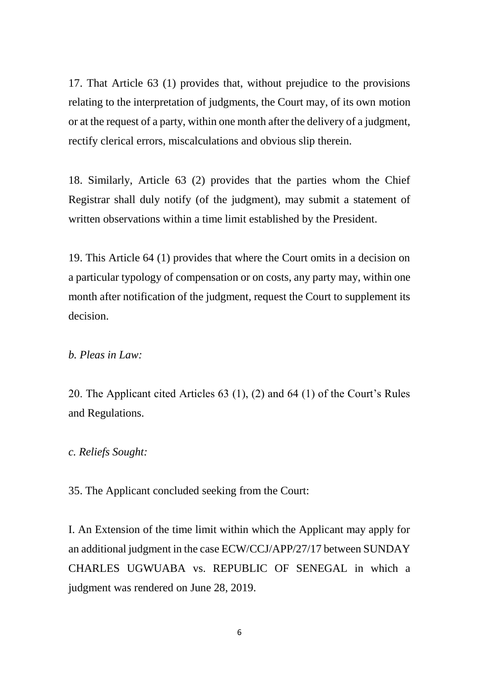17. That Article 63 (1) provides that, without prejudice to the provisions relating to the interpretation of judgments, the Court may, of its own motion or at the request of a party, within one month after the delivery of a judgment, rectify clerical errors, miscalculations and obvious slip therein.

18. Similarly, Article 63 (2) provides that the parties whom the Chief Registrar shall duly notify (of the judgment), may submit a statement of written observations within a time limit established by the President.

19. This Article 64 (1) provides that where the Court omits in a decision on a particular typology of compensation or on costs, any party may, within one month after notification of the judgment, request the Court to supplement its decision.

#### *b. Pleas in Law:*

20. The Applicant cited Articles 63 (1), (2) and 64 (1) of the Court's Rules and Regulations.

#### *c. Reliefs Sought:*

35. The Applicant concluded seeking from the Court:

I. An Extension of the time limit within which the Applicant may apply for an additional judgment in the case ECW/CCJ/APP/27/17 between SUNDAY CHARLES UGWUABA vs. REPUBLIC OF SENEGAL in which a judgment was rendered on June 28, 2019.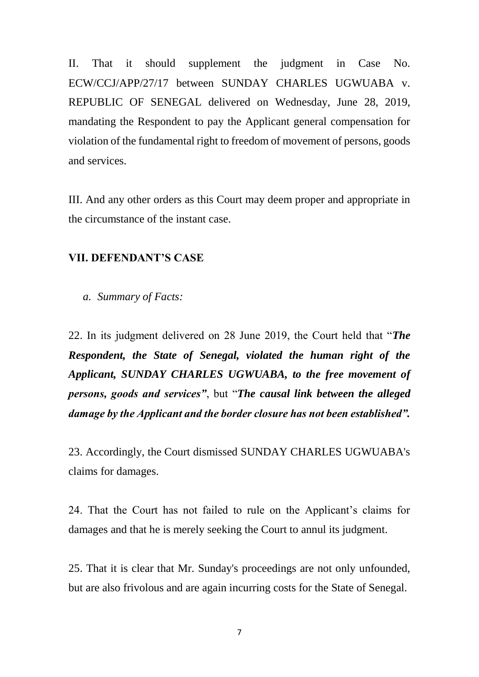II. That it should supplement the judgment in Case No. ECW/CCJ/APP/27/17 between SUNDAY CHARLES UGWUABA v. REPUBLIC OF SENEGAL delivered on Wednesday, June 28, 2019, mandating the Respondent to pay the Applicant general compensation for violation of the fundamental right to freedom of movement of persons, goods and services.

III. And any other orders as this Court may deem proper and appropriate in the circumstance of the instant case.

#### **VII. DEFENDANT'S CASE**

*a. Summary of Facts:*

22. In its judgment delivered on 28 June 2019, the Court held that "*The Respondent, the State of Senegal, violated the human right of the Applicant, SUNDAY CHARLES UGWUABA, to the free movement of persons, goods and services"*, but "*The causal link between the alleged damage by the Applicant and the border closure has not been established".*

23. Accordingly, the Court dismissed SUNDAY CHARLES UGWUABA's claims for damages.

24. That the Court has not failed to rule on the Applicant's claims for damages and that he is merely seeking the Court to annul its judgment.

25. That it is clear that Mr. Sunday's proceedings are not only unfounded, but are also frivolous and are again incurring costs for the State of Senegal.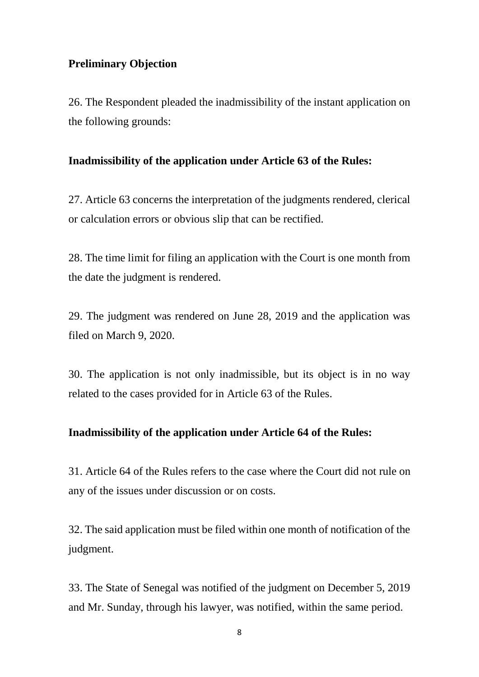#### **Preliminary Objection**

26. The Respondent pleaded the inadmissibility of the instant application on the following grounds:

#### **Inadmissibility of the application under Article 63 of the Rules:**

27. Article 63 concerns the interpretation of the judgments rendered, clerical or calculation errors or obvious slip that can be rectified.

28. The time limit for filing an application with the Court is one month from the date the judgment is rendered.

29. The judgment was rendered on June 28, 2019 and the application was filed on March 9, 2020.

30. The application is not only inadmissible, but its object is in no way related to the cases provided for in Article 63 of the Rules.

#### **Inadmissibility of the application under Article 64 of the Rules:**

31. Article 64 of the Rules refers to the case where the Court did not rule on any of the issues under discussion or on costs.

32. The said application must be filed within one month of notification of the judgment.

33. The State of Senegal was notified of the judgment on December 5, 2019 and Mr. Sunday, through his lawyer, was notified, within the same period.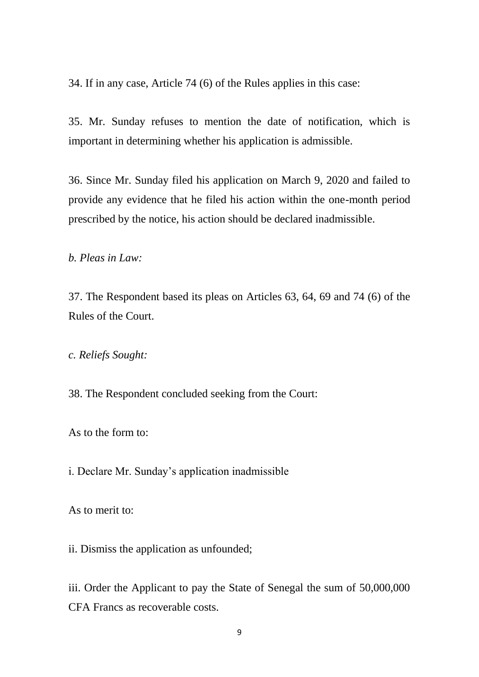34. If in any case, Article 74 (6) of the Rules applies in this case:

35. Mr. Sunday refuses to mention the date of notification, which is important in determining whether his application is admissible.

36. Since Mr. Sunday filed his application on March 9, 2020 and failed to provide any evidence that he filed his action within the one-month period prescribed by the notice, his action should be declared inadmissible.

*b. Pleas in Law:*

37. The Respondent based its pleas on Articles 63, 64, 69 and 74 (6) of the Rules of the Court.

*c. Reliefs Sought:*

38. The Respondent concluded seeking from the Court:

As to the form to:

i. Declare Mr. Sunday's application inadmissible

As to merit to:

ii. Dismiss the application as unfounded;

iii. Order the Applicant to pay the State of Senegal the sum of 50,000,000 CFA Francs as recoverable costs.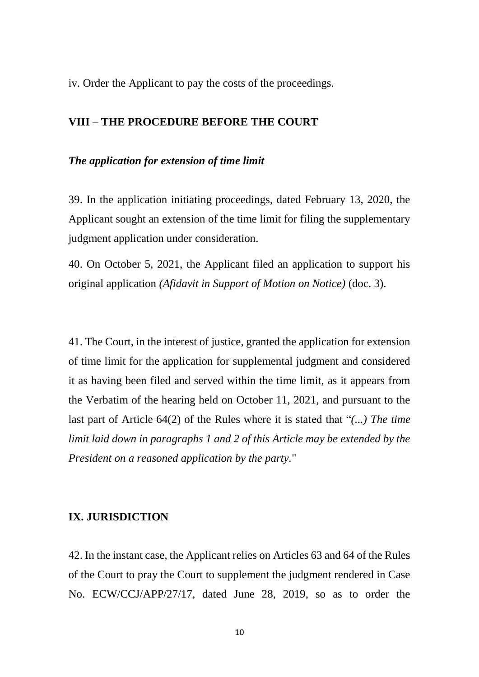iv. Order the Applicant to pay the costs of the proceedings.

#### **VIII – THE PROCEDURE BEFORE THE COURT**

#### *The application for extension of time limit*

39. In the application initiating proceedings, dated February 13, 2020, the Applicant sought an extension of the time limit for filing the supplementary judgment application under consideration.

40. On October 5, 2021, the Applicant filed an application to support his original application *(Afidavit in Support of Motion on Notice)* (doc. 3).

41. The Court, in the interest of justice, granted the application for extension of time limit for the application for supplemental judgment and considered it as having been filed and served within the time limit, as it appears from the Verbatim of the hearing held on October 11, 2021, and pursuant to the last part of Article 64(2) of the Rules where it is stated that "*(...) The time limit laid down in paragraphs 1 and 2 of this Article may be extended by the President on a reasoned application by the party.*"

#### **IX. JURISDICTION**

42. In the instant case, the Applicant relies on Articles 63 and 64 of the Rules of the Court to pray the Court to supplement the judgment rendered in Case No. ECW/CCJ/APP/27/17, dated June 28, 2019, so as to order the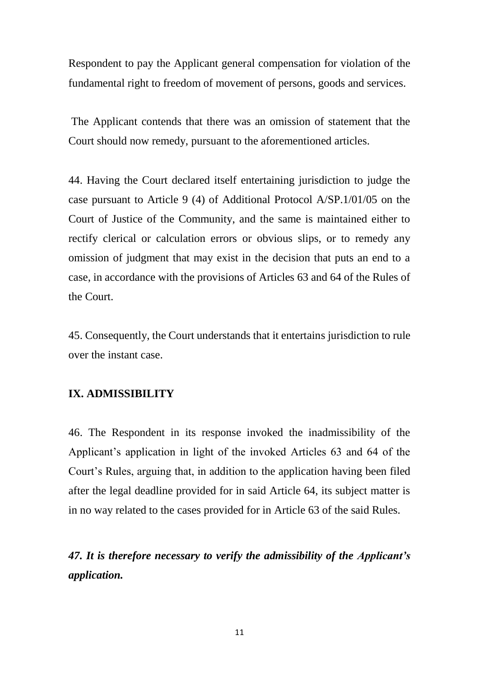Respondent to pay the Applicant general compensation for violation of the fundamental right to freedom of movement of persons, goods and services.

The Applicant contends that there was an omission of statement that the Court should now remedy, pursuant to the aforementioned articles.

44. Having the Court declared itself entertaining jurisdiction to judge the case pursuant to Article 9 (4) of Additional Protocol A/SP.1/01/05 on the Court of Justice of the Community, and the same is maintained either to rectify clerical or calculation errors or obvious slips, or to remedy any omission of judgment that may exist in the decision that puts an end to a case, in accordance with the provisions of Articles 63 and 64 of the Rules of the Court.

45. Consequently, the Court understands that it entertains jurisdiction to rule over the instant case.

#### **IX. ADMISSIBILITY**

46. The Respondent in its response invoked the inadmissibility of the Applicant's application in light of the invoked Articles 63 and 64 of the Court's Rules, arguing that, in addition to the application having been filed after the legal deadline provided for in said Article 64, its subject matter is in no way related to the cases provided for in Article 63 of the said Rules.

*47. It is therefore necessary to verify the admissibility of the Applicant's application.*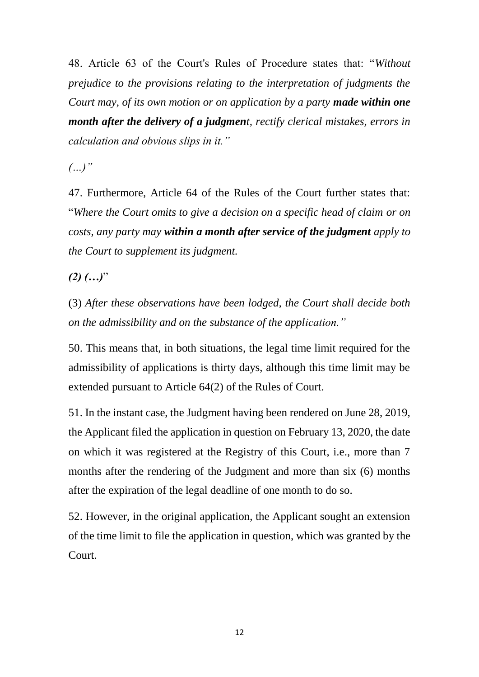48. Article 63 of the Court's Rules of Procedure states that: "*Without prejudice to the provisions relating to the interpretation of judgments the Court may, of its own motion or on application by a party made within one month after the delivery of a judgment, rectify clerical mistakes, errors in calculation and obvious slips in it."*

*(…)"*

47. Furthermore, Article 64 of the Rules of the Court further states that: "*Where the Court omits to give a decision on a specific head of claim or on costs, any party may within a month after service of the judgment apply to the Court to supplement its judgment.*

*(2) (…)*"

(3) *After these observations have been lodged, the Court shall decide both on the admissibility and on the substance of the application."*

50. This means that, in both situations, the legal time limit required for the admissibility of applications is thirty days, although this time limit may be extended pursuant to Article 64(2) of the Rules of Court.

51. In the instant case, the Judgment having been rendered on June 28, 2019, the Applicant filed the application in question on February 13, 2020, the date on which it was registered at the Registry of this Court, i.e., more than 7 months after the rendering of the Judgment and more than six (6) months after the expiration of the legal deadline of one month to do so.

52. However, in the original application, the Applicant sought an extension of the time limit to file the application in question, which was granted by the Court.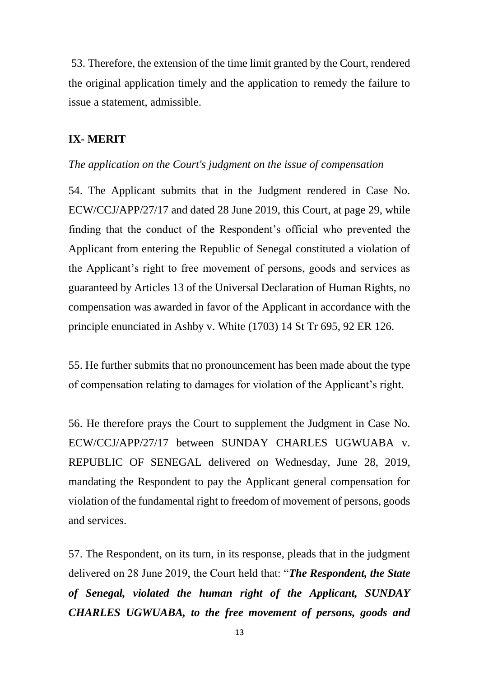53. Therefore, the extension of the time limit granted by the Court, rendered the original application timely and the application to remedy the failure to issue a statement, admissible.

#### **IX- MERIT**

#### *The application on the Court's judgment on the issue of compensation*

54. The Applicant submits that in the Judgment rendered in Case No. ECW/CCJ/APP/27/17 and dated 28 June 2019, this Court, at page 29, while finding that the conduct of the Respondent's official who prevented the Applicant from entering the Republic of Senegal constituted a violation of the Applicant's right to free movement of persons, goods and services as guaranteed by Articles 13 of the Universal Declaration of Human Rights, no compensation was awarded in favor of the Applicant in accordance with the principle enunciated in Ashby v. White (1703) 14 St Tr 695, 92 ER 126.

55. He further submits that no pronouncement has been made about the type of compensation relating to damages for violation of the Applicant's right.

56. He therefore prays the Court to supplement the Judgment in Case No. ECW/CCJ/APP/27/17 between SUNDAY CHARLES UGWUABA v. REPUBLIC OF SENEGAL delivered on Wednesday, June 28, 2019, mandating the Respondent to pay the Applicant general compensation for violation of the fundamental right to freedom of movement of persons, goods and services.

57. The Respondent, on its turn, in its response, pleads that in the judgment delivered on 28 June 2019, the Court held that: "*The Respondent, the State of Senegal, violated the human right of the Applicant, SUNDAY CHARLES UGWUABA, to the free movement of persons, goods and*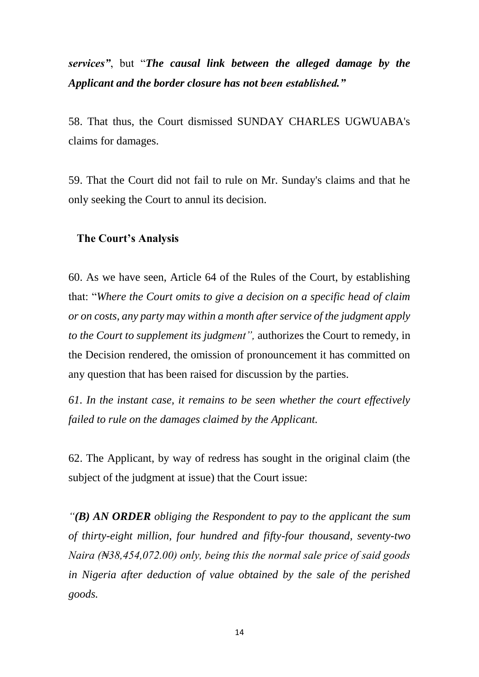*services"*, but "*The causal link between the alleged damage by the Applicant and the border closure has not been established."*

58. That thus, the Court dismissed SUNDAY CHARLES UGWUABA's claims for damages.

59. That the Court did not fail to rule on Mr. Sunday's claims and that he only seeking the Court to annul its decision.

#### **The Court's Analysis**

60. As we have seen, Article 64 of the Rules of the Court, by establishing that: "*Where the Court omits to give a decision on a specific head of claim or on costs, any party may within a month after service of the judgment apply to the Court to supplement its judgment",* authorizes the Court to remedy, in the Decision rendered, the omission of pronouncement it has committed on any question that has been raised for discussion by the parties.

*61. In the instant case, it remains to be seen whether the court effectively failed to rule on the damages claimed by the Applicant.*

62. The Applicant, by way of redress has sought in the original claim (the subject of the judgment at issue) that the Court issue:

*"(B) AN ORDER obliging the Respondent to pay to the applicant the sum of thirty-eight million, four hundred and fifty-four thousand, seventy-two Naira (₦38,454,072.00) only, being this the normal sale price of said goods in Nigeria after deduction of value obtained by the sale of the perished goods.*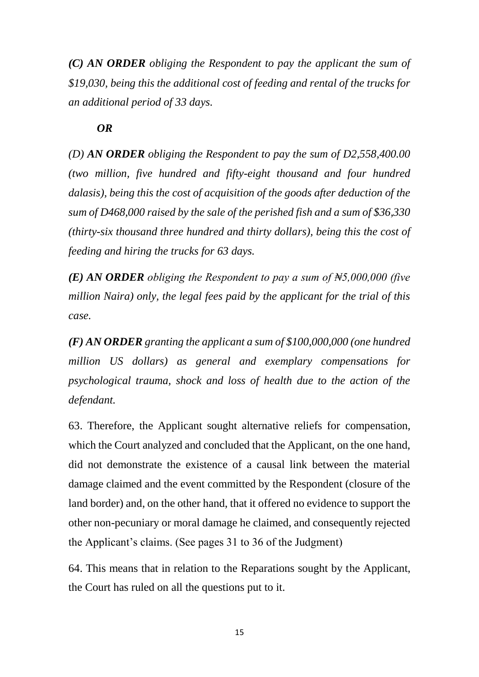*(C) AN ORDER obliging the Respondent to pay the applicant the sum of \$19,030, being this the additional cost of feeding and rental of the trucks for an additional period of 33 days.*

## *OR*

*(D) AN ORDER obliging the Respondent to pay the sum of D2,558,400.00 (two million, five hundred and fifty-eight thousand and four hundred dalasis), being this the cost of acquisition of the goods after deduction of the sum of D468,000 raised by the sale of the perished fish and a sum of \$36,330 (thirty-six thousand three hundred and thirty dollars), being this the cost of feeding and hiring the trucks for 63 days.*

*(E) AN ORDER obliging the Respondent to pay a sum of ₦5,000,000 (five million Naira) only, the legal fees paid by the applicant for the trial of this case.*

*(F) AN ORDER granting the applicant a sum of \$100,000,000 (one hundred million US dollars) as general and exemplary compensations for psychological trauma, shock and loss of health due to the action of the defendant.*

63. Therefore, the Applicant sought alternative reliefs for compensation, which the Court analyzed and concluded that the Applicant, on the one hand, did not demonstrate the existence of a causal link between the material damage claimed and the event committed by the Respondent (closure of the land border) and, on the other hand, that it offered no evidence to support the other non-pecuniary or moral damage he claimed, and consequently rejected the Applicant's claims. (See pages 31 to 36 of the Judgment)

64. This means that in relation to the Reparations sought by the Applicant, the Court has ruled on all the questions put to it.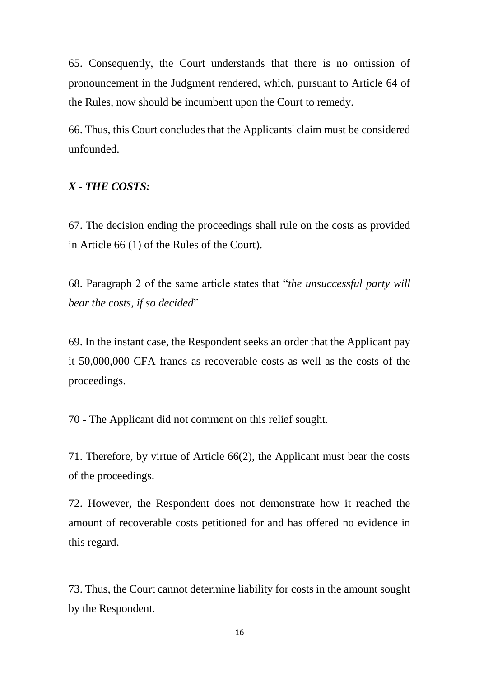65. Consequently, the Court understands that there is no omission of pronouncement in the Judgment rendered, which, pursuant to Article 64 of the Rules, now should be incumbent upon the Court to remedy.

66. Thus, this Court concludes that the Applicants' claim must be considered unfounded.

#### *X - THE COSTS:*

67. The decision ending the proceedings shall rule on the costs as provided in Article 66 (1) of the Rules of the Court).

68. Paragraph 2 of the same article states that "*the unsuccessful party will bear the costs, if so decided*".

69. In the instant case, the Respondent seeks an order that the Applicant pay it 50,000,000 CFA francs as recoverable costs as well as the costs of the proceedings.

70 - The Applicant did not comment on this relief sought.

71. Therefore, by virtue of Article 66(2), the Applicant must bear the costs of the proceedings.

72. However, the Respondent does not demonstrate how it reached the amount of recoverable costs petitioned for and has offered no evidence in this regard.

73. Thus, the Court cannot determine liability for costs in the amount sought by the Respondent.